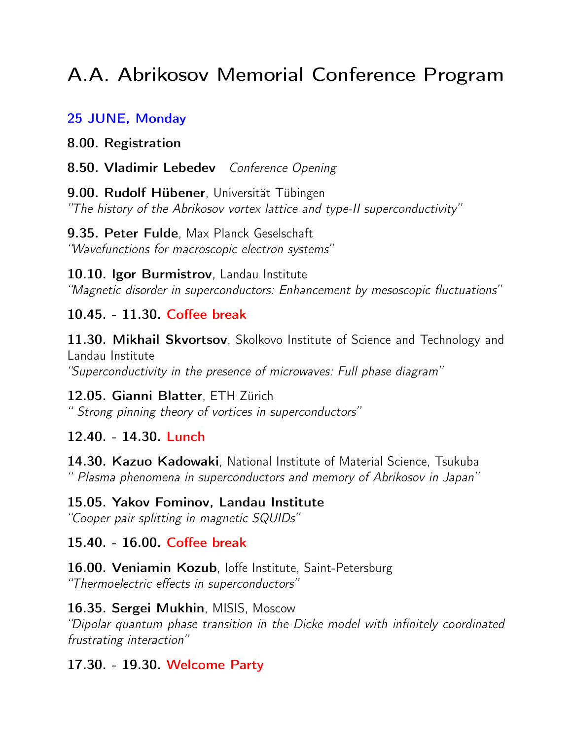# A.A. Abrikosov Memorial Conference Program

#### 25 JUNE, Monday

8.00. Registration

8.50. Vladimir Lebedev Conference Opening

9.00. Rudolf Hübener, Universität Tübingen "The history of the Abrikosov vortex lattice and type-II superconductivity"

9.35. Peter Fulde, Max Planck Geselschaft "Wavefunctions for macroscopic electron systems"

10.10. Igor Burmistrov, Landau Institute "Magnetic disorder in superconductors: Enhancement by mesoscopic fluctuations"

#### 10.45. - 11.30. Coffee break

11.30. Mikhail Skvortsov, Skolkovo Institute of Science and Technology and Landau Institute

"Superconductivity in the presence of microwaves: Full phase diagram"

12.05. Gianni Blatter, ETH Zürich " Strong pinning theory of vortices in superconductors"

#### 12.40. - 14.30. Lunch

14.30. Kazuo Kadowaki, National Institute of Material Science, Tsukuba " Plasma phenomena in superconductors and memory of Abrikosov in Japan"

## 15.05. Yakov Fominov, Landau Institute

"Cooper pair splitting in magnetic SQUIDs"

15.40. - 16.00. Coffee break

16.00. Veniamin Kozub, loffe Institute, Saint-Petersburg "Thermoelectric effects in superconductors"

#### 16.35. Sergei Mukhin, MISIS, Moscow

"Dipolar quantum phase transition in the Dicke model with infinitely coordinated frustrating interaction"

#### 17.30. - 19.30. Welcome Party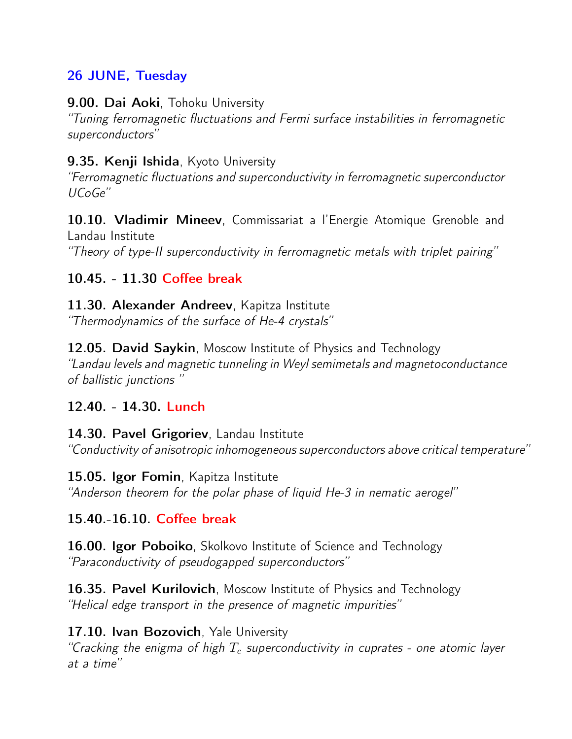# 26 JUNE, Tuesday

#### 9.00. Dai Aoki, Tohoku University

"Tuning ferromagnetic fluctuations and Fermi surface instabilities in ferromagnetic superconductors"

## 9.35. Kenji Ishida, Kyoto University

"Ferromagnetic fluctuations and superconductivity in ferromagnetic superconductor UCoGe"

10.10. Vladimir Mineev, Commissariat a l'Energie Atomique Grenoble and Landau Institute

"Theory of type-II superconductivity in ferromagnetic metals with triplet pairing"

# 10.45. - 11.30 Coffee break

11.30. Alexander Andreev, Kapitza Institute "Thermodynamics of the surface of He-4 crystals"

12.05. David Saykin, Moscow Institute of Physics and Technology "Landau levels and magnetic tunneling in Weyl semimetals and magnetoconductance of ballistic junctions "

## 12.40. - 14.30. Lunch

14.30. Pavel Grigoriev, Landau Institute "Conductivity of anisotropic inhomogeneous superconductors above critical temperature"

15.05. Igor Fomin, Kapitza Institute "Anderson theorem for the polar phase of liquid He-3 in nematic aerogel"

## 15.40.-16.10. Coffee break

16.00. Igor Poboiko, Skolkovo Institute of Science and Technology "Paraconductivity of pseudogapped superconductors"

16.35. Pavel Kurilovich, Moscow Institute of Physics and Technology "Helical edge transport in the presence of magnetic impurities"

#### 17.10. Ivan Bozovich, Yale University

"Cracking the enigma of high  $T_c$  superconductivity in cuprates - one atomic layer at a time"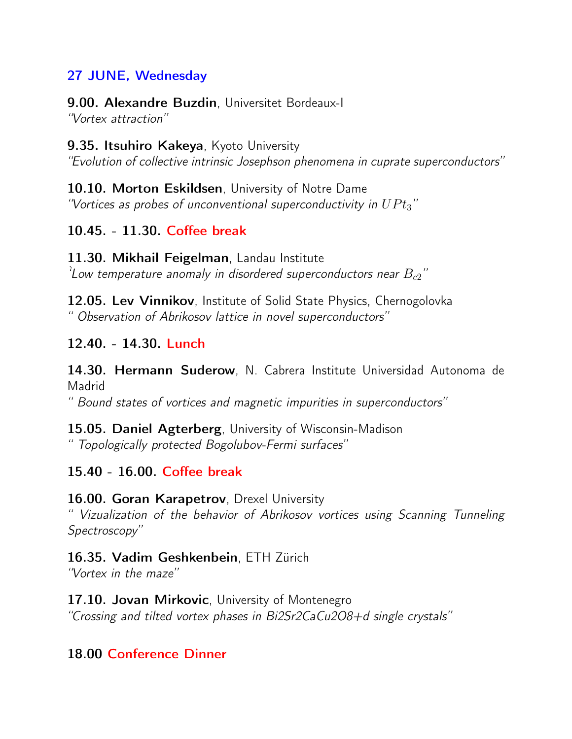# 27 JUNE, Wednesday

9.00. Alexandre Buzdin, Universitet Bordeaux-I "Vortex attraction"

9.35. Itsuhiro Kakeya, Kyoto University "Evolution of collective intrinsic Josephson phenomena in cuprate superconductors"

10.10. Morton Eskildsen, University of Notre Dame "Vortices as probes of unconventional superconductivity in  $UPt_3$ "

10.45. - 11.30. Coffee break

11.30. Mikhail Feigelman, Landau Institute 'Low temperature anomaly in disordered superconductors near  $B_{c2}$ "

12.05. Lev Vinnikov, Institute of Solid State Physics, Chernogolovka " Observation of Abrikosov lattice in novel superconductors"

# 12.40. - 14.30. Lunch

14.30. Hermann Suderow, N. Cabrera Institute Universidad Autonoma de Madrid

" Bound states of vortices and magnetic impurities in superconductors"

15.05. Daniel Agterberg, University of Wisconsin-Madison " Topologically protected Bogolubov-Fermi surfaces"

15.40 - 16.00. Coffee break

16.00. Goran Karapetrov, Drexel University

" Vizualization of the behavior of Abrikosov vortices using Scanning Tunneling Spectroscopy"

#### 16.35. Vadim Geshkenbein, ETH Zürich

"Vortex in the maze"

17.10. Jovan Mirkovic, University of Montenegro "Crossing and tilted vortex phases in Bi2Sr2CaCu2O8+d single crystals"

# 18.00 Conference Dinner